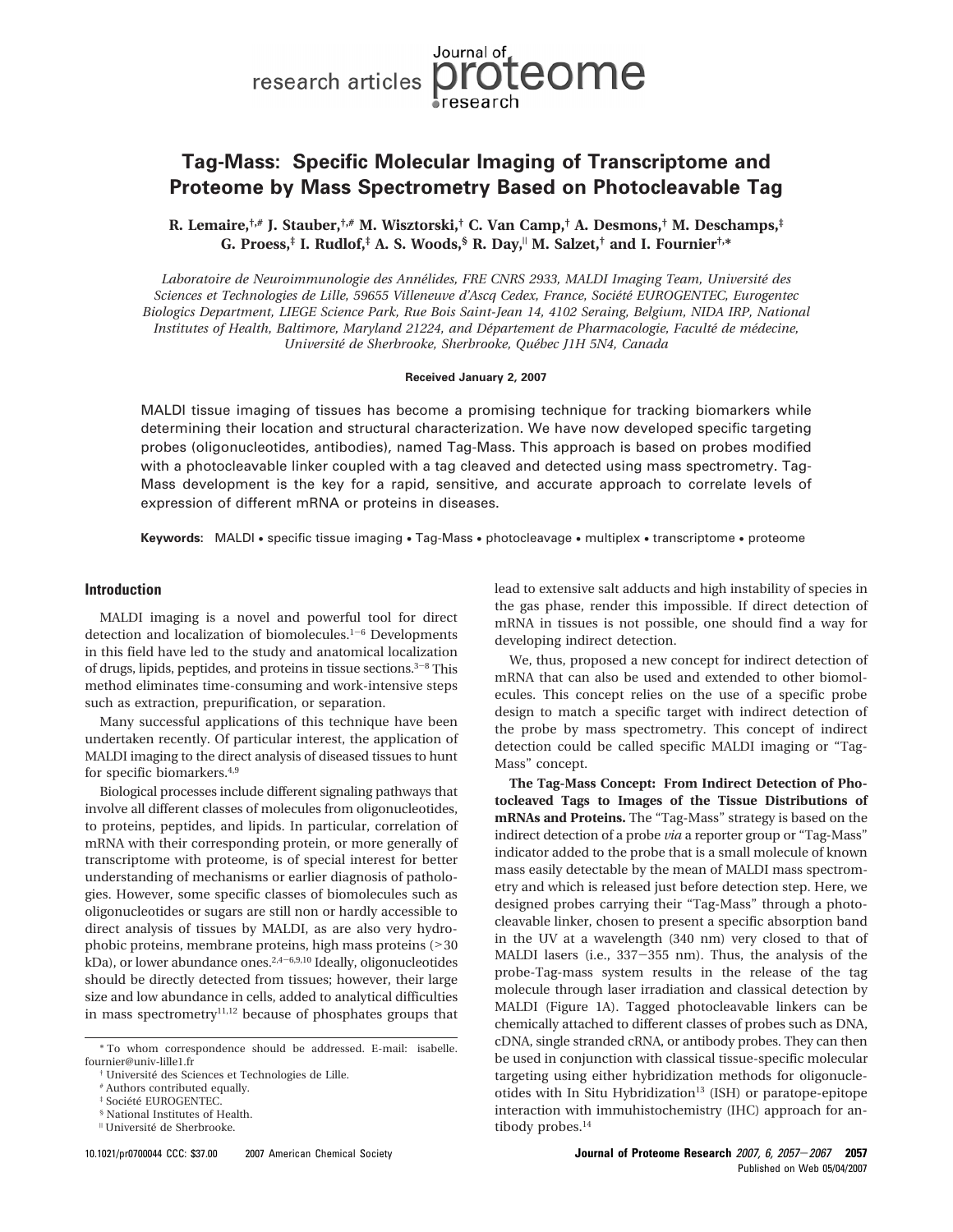# **Tag-Mass: Specific Molecular Imaging of Transcriptome and Proteome by Mass Spectrometry Based on Photocleavable Tag**

**R. Lemaire,†,# J. Stauber,†,# M. Wisztorski,† C. Van Camp,† A. Desmons,† M. Deschamps,‡ G. Proess,‡ I. Rudlof,‡ A. S. Woods,§ R. Day,**<sup>|</sup> **M. Salzet,† and I. Fournier†,\***

*Laboratoire de Neuroimmunologie des Anne´lides, FRE CNRS 2933, MALDI Imaging Team, Universite´ des Sciences et Technologies de Lille, 59655 Villeneuve d'Ascq Cedex, France, Socie´te´ EUROGENTEC, Eurogentec Biologics Department, LIEGE Science Park, Rue Bois Saint-Jean 14, 4102 Seraing, Belgium, NIDA IRP, National Institutes of Health, Baltimore, Maryland 21224, and De´partement de Pharmacologie, Faculte´ de me´decine, Universite´ de Sherbrooke, Sherbrooke, Que´bec J1H 5N4, Canada*

#### **Received January 2, 2007**

MALDI tissue imaging of tissues has become a promising technique for tracking biomarkers while determining their location and structural characterization. We have now developed specific targeting probes (oligonucleotides, antibodies), named Tag-Mass. This approach is based on probes modified with a photocleavable linker coupled with a tag cleaved and detected using mass spectrometry. Tag-Mass development is the key for a rapid, sensitive, and accurate approach to correlate levels of expression of different mRNA or proteins in diseases.

**Keywords:** MALDI • specific tissue imaging • Tag-Mass • photocleavage • multiplex • transcriptome • proteome

### **Introduction**

MALDI imaging is a novel and powerful tool for direct detection and localization of biomolecules.<sup>1-6</sup> Developments in this field have led to the study and anatomical localization of drugs, lipids, peptides, and proteins in tissue sections. $3-8$  This method eliminates time-consuming and work-intensive steps such as extraction, prepurification, or separation.

Many successful applications of this technique have been undertaken recently. Of particular interest, the application of MALDI imaging to the direct analysis of diseased tissues to hunt for specific biomarkers.4,9

Biological processes include different signaling pathways that involve all different classes of molecules from oligonucleotides, to proteins, peptides, and lipids. In particular, correlation of mRNA with their corresponding protein, or more generally of transcriptome with proteome, is of special interest for better understanding of mechanisms or earlier diagnosis of pathologies. However, some specific classes of biomolecules such as oligonucleotides or sugars are still non or hardly accessible to direct analysis of tissues by MALDI, as are also very hydrophobic proteins, membrane proteins, high mass proteins (><sup>30</sup>  $kDa$ ), or lower abundance ones.<sup>2,4-6,9,10</sup> Ideally, oligonucleotides should be directly detected from tissues; however, their large size and low abundance in cells, added to analytical difficulties in mass spectrometry $11,12$  because of phosphates groups that

lead to extensive salt adducts and high instability of species in the gas phase, render this impossible. If direct detection of mRNA in tissues is not possible, one should find a way for developing indirect detection.

We, thus, proposed a new concept for indirect detection of mRNA that can also be used and extended to other biomolecules. This concept relies on the use of a specific probe design to match a specific target with indirect detection of the probe by mass spectrometry. This concept of indirect detection could be called specific MALDI imaging or "Tag-Mass" concept.

**The Tag-Mass Concept: From Indirect Detection of Photocleaved Tags to Images of the Tissue Distributions of mRNAs and Proteins.** The "Tag-Mass" strategy is based on the indirect detection of a probe *via* a reporter group or "Tag-Mass" indicator added to the probe that is a small molecule of known mass easily detectable by the mean of MALDI mass spectrometry and which is released just before detection step. Here, we designed probes carrying their "Tag-Mass" through a photocleavable linker, chosen to present a specific absorption band in the UV at a wavelength (340 nm) very closed to that of MALDI lasers (i.e., 337-355 nm). Thus, the analysis of the probe-Tag-mass system results in the release of the tag molecule through laser irradiation and classical detection by MALDI (Figure 1A). Tagged photocleavable linkers can be chemically attached to different classes of probes such as DNA, cDNA, single stranded cRNA, or antibody probes. They can then be used in conjunction with classical tissue-specific molecular targeting using either hybridization methods for oligonucleotides with In Situ Hybridization<sup>13</sup> (ISH) or paratope-epitope interaction with immuhistochemistry (IHC) approach for antibody probes.<sup>14</sup>



<sup>\*</sup> To whom correspondence should be addressed. E-mail: isabelle. fournier@univ-lille1.fr

<sup>†</sup> Universite´ des Sciences et Technologies de Lille.

<sup>#</sup> Authors contributed equally.

 $\dagger$  Société EUROGENTEC.

<sup>§</sup> National Institutes of Health.

<sup>&</sup>lt;sup>"</sup> Université de Sherbrooke.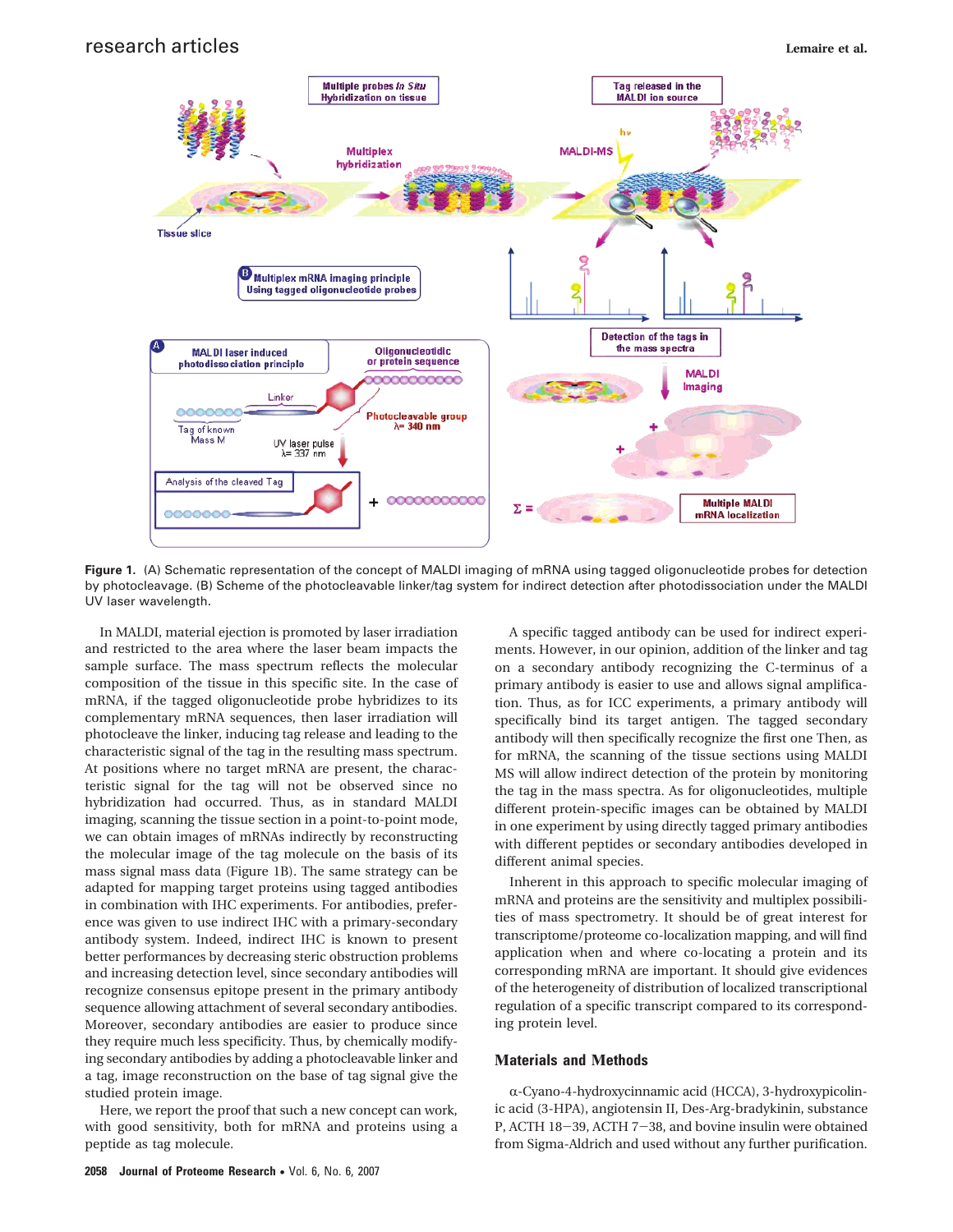

**Figure 1.** (A) Schematic representation of the concept of MALDI imaging of mRNA using tagged oligonucleotide probes for detection by photocleavage. (B) Scheme of the photocleavable linker/tag system for indirect detection after photodissociation under the MALDI UV laser wavelength.

In MALDI, material ejection is promoted by laser irradiation and restricted to the area where the laser beam impacts the sample surface. The mass spectrum reflects the molecular composition of the tissue in this specific site. In the case of mRNA, if the tagged oligonucleotide probe hybridizes to its complementary mRNA sequences, then laser irradiation will photocleave the linker, inducing tag release and leading to the characteristic signal of the tag in the resulting mass spectrum. At positions where no target mRNA are present, the characteristic signal for the tag will not be observed since no hybridization had occurred. Thus, as in standard MALDI imaging, scanning the tissue section in a point-to-point mode, we can obtain images of mRNAs indirectly by reconstructing the molecular image of the tag molecule on the basis of its mass signal mass data (Figure 1B). The same strategy can be adapted for mapping target proteins using tagged antibodies in combination with IHC experiments. For antibodies, preference was given to use indirect IHC with a primary-secondary antibody system. Indeed, indirect IHC is known to present better performances by decreasing steric obstruction problems and increasing detection level, since secondary antibodies will recognize consensus epitope present in the primary antibody sequence allowing attachment of several secondary antibodies. Moreover, secondary antibodies are easier to produce since they require much less specificity. Thus, by chemically modifying secondary antibodies by adding a photocleavable linker and a tag, image reconstruction on the base of tag signal give the studied protein image.

Here, we report the proof that such a new concept can work, with good sensitivity, both for mRNA and proteins using a peptide as tag molecule.

A specific tagged antibody can be used for indirect experiments. However, in our opinion, addition of the linker and tag on a secondary antibody recognizing the C-terminus of a primary antibody is easier to use and allows signal amplification. Thus, as for ICC experiments, a primary antibody will specifically bind its target antigen. The tagged secondary antibody will then specifically recognize the first one Then, as for mRNA, the scanning of the tissue sections using MALDI MS will allow indirect detection of the protein by monitoring the tag in the mass spectra. As for oligonucleotides, multiple different protein-specific images can be obtained by MALDI in one experiment by using directly tagged primary antibodies with different peptides or secondary antibodies developed in different animal species.

Inherent in this approach to specific molecular imaging of mRNA and proteins are the sensitivity and multiplex possibilities of mass spectrometry. It should be of great interest for transcriptome/proteome co-localization mapping, and will find application when and where co-locating a protein and its corresponding mRNA are important. It should give evidences of the heterogeneity of distribution of localized transcriptional regulation of a specific transcript compared to its corresponding protein level.

## **Μaterials and Μethods**

R-Cyano-4-hydroxycinnamic acid (HCCA), 3-hydroxypicolinic acid (3-HPA), angiotensin II, Des-Arg-bradykinin, substance P, ACTH 18-39, ACTH 7-38, and bovine insulin were obtained from Sigma-Aldrich and used without any further purification.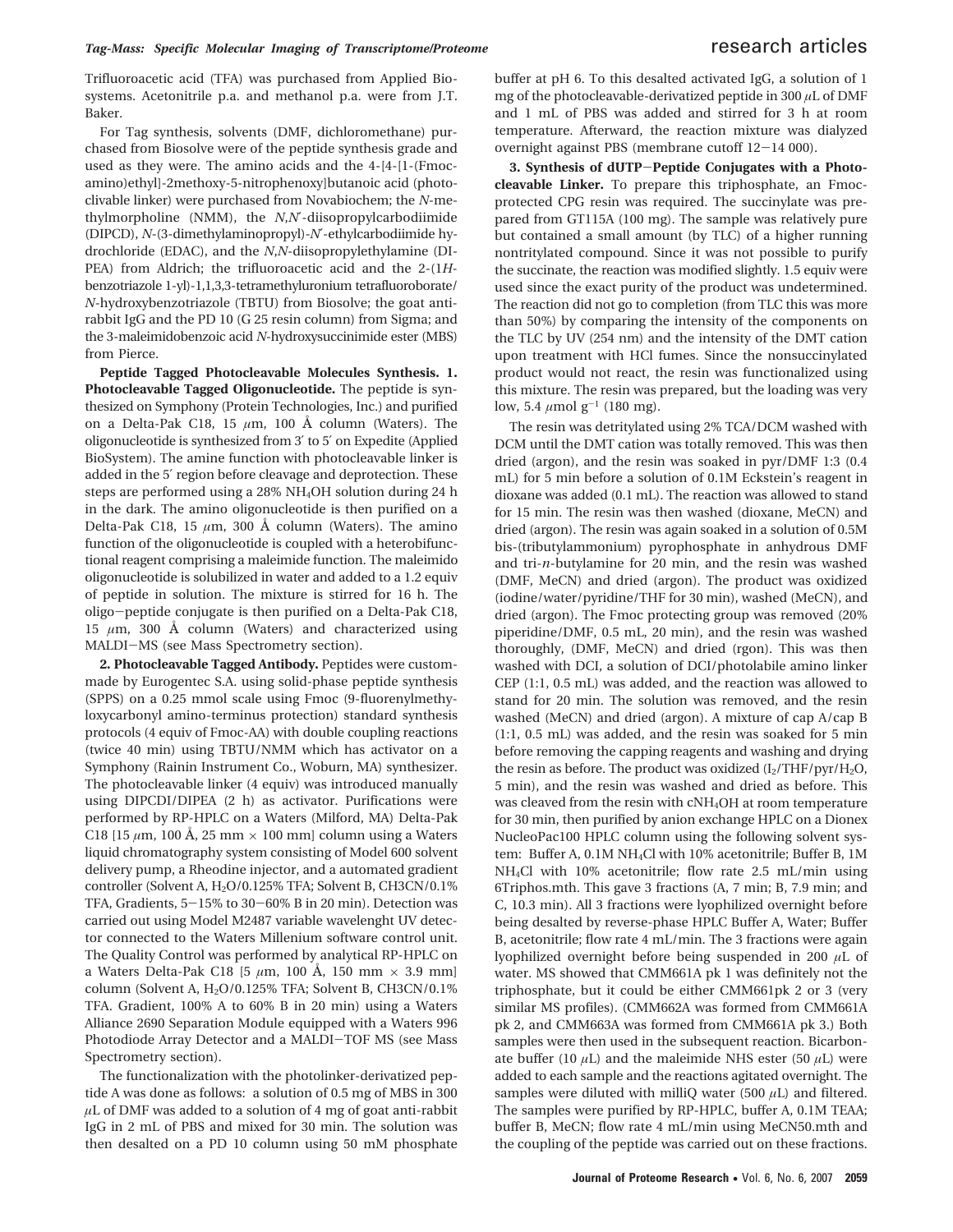Trifluoroacetic acid (TFA) was purchased from Applied Biosystems. Acetonitrile p.a. and methanol p.a. were from J.T. Baker.

For Tag synthesis, solvents (DMF, dichloromethane) purchased from Biosolve were of the peptide synthesis grade and used as they were. The amino acids and the 4-[4-[1-(Fmocamino)ethyl]-2methoxy-5-nitrophenoxy]butanoic acid (photoclivable linker) were purchased from Novabiochem; the *N*-methylmorpholine (NMM), the *N*,*N*′-diisopropylcarbodiimide (DIPCD), *N*-(3-dimethylaminopropyl)-*N*′-ethylcarbodiimide hydrochloride (EDAC), and the *N*,*N*-diisopropylethylamine (DI-PEA) from Aldrich; the trifluoroacetic acid and the 2-(1*H*benzotriazole 1-yl)-1,1,3,3-tetramethyluronium tetrafluoroborate/ *N*-hydroxybenzotriazole (TBTU) from Biosolve; the goat antirabbit IgG and the PD 10 (G 25 resin column) from Sigma; and the 3-maleimidobenzoic acid *N*-hydroxysuccinimide ester (MBS) from Pierce.

**Peptide Tagged Photocleavable Molecules Synthesis. 1. Photocleavable Tagged Oligonucleotide.** The peptide is synthesized on Symphony (Protein Technologies, Inc.) and purified on a Delta-Pak C18, 15 *µ*m, 100 Å column (Waters). The oligonucleotide is synthesized from 3′ to 5′ on Expedite (Applied BioSystem). The amine function with photocleavable linker is added in the 5′ region before cleavage and deprotection. These steps are performed using a 28% NH4OH solution during 24 h in the dark. The amino oligonucleotide is then purified on a Delta-Pak C18, 15  $\mu$ m, 300 Å column (Waters). The amino function of the oligonucleotide is coupled with a heterobifunctional reagent comprising a maleimide function. The maleimido oligonucleotide is solubilized in water and added to a 1.2 equiv of peptide in solution. The mixture is stirred for 16 h. The oligo-peptide conjugate is then purified on a Delta-Pak C18, 15  $\mu$ m, 300 Å column (Waters) and characterized using MALDI-MS (see Mass Spectrometry section).

**2. Photocleavable Tagged Antibody.** Peptides were custommade by Eurogentec S.A. using solid-phase peptide synthesis (SPPS) on a 0.25 mmol scale using Fmoc (9-fluorenylmethyloxycarbonyl amino-terminus protection) standard synthesis protocols (4 equiv of Fmoc-AA) with double coupling reactions (twice 40 min) using TBTU/NMM which has activator on a Symphony (Rainin Instrument Co., Woburn, MA) synthesizer. The photocleavable linker (4 equiv) was introduced manually using DIPCDI/DIPEA (2 h) as activator. Purifications were performed by RP-HPLC on a Waters (Milford, MA) Delta-Pak C18 [15  $\mu$ m, 100 Å, 25 mm  $\times$  100 mm] column using a Waters liquid chromatography system consisting of Model 600 solvent delivery pump, a Rheodine injector, and a automated gradient controller (Solvent A, H<sub>2</sub>O/0.125% TFA; Solvent B, CH3CN/0.1% TFA, Gradients,  $5-15\%$  to  $30-60\%$  B in 20 min). Detection was carried out using Model M2487 variable wavelenght UV detector connected to the Waters Millenium software control unit. The Quality Control was performed by analytical RP-HPLC on a Waters Delta-Pak C18 [5 *µ*m, 100 Å, 150 mm × 3.9 mm] column (Solvent A, H2O/0.125% TFA; Solvent B, CH3CN/0.1% TFA. Gradient, 100% A to 60% B in 20 min) using a Waters Alliance 2690 Separation Module equipped with a Waters 996 Photodiode Array Detector and a MALDI-TOF MS (see Mass Spectrometry section).

The functionalization with the photolinker-derivatized peptide A was done as follows: a solution of 0.5 mg of MBS in 300 *µ*L of DMF was added to a solution of 4 mg of goat anti-rabbit IgG in 2 mL of PBS and mixed for 30 min. The solution was then desalted on a PD 10 column using 50 mM phosphate

buffer at pH 6. To this desalted activated IgG, a solution of 1 mg of the photocleavable-derivatized peptide in 300 *µ*L of DMF and 1 mL of PBS was added and stirred for 3 h at room temperature. Afterward, the reaction mixture was dialyzed overnight against PBS (membrane cutoff 12-14 000).

**3. Synthesis of dUTP**-**Peptide Conjugates with a Photocleavable Linker.** To prepare this triphosphate, an Fmocprotected CPG resin was required. The succinylate was prepared from GT115A (100 mg). The sample was relatively pure but contained a small amount (by TLC) of a higher running nontritylated compound. Since it was not possible to purify the succinate, the reaction was modified slightly. 1.5 equiv were used since the exact purity of the product was undetermined. The reaction did not go to completion (from TLC this was more than 50%) by comparing the intensity of the components on the TLC by UV (254 nm) and the intensity of the DMT cation upon treatment with HCl fumes. Since the nonsuccinylated product would not react, the resin was functionalized using this mixture. The resin was prepared, but the loading was very low, 5.4  $\mu$ mol g<sup>-1</sup> (180 mg).

The resin was detritylated using 2% TCA/DCM washed with DCM until the DMT cation was totally removed. This was then dried (argon), and the resin was soaked in pyr/DMF 1:3 (0.4 mL) for 5 min before a solution of 0.1M Eckstein's reagent in dioxane was added (0.1 mL). The reaction was allowed to stand for 15 min. The resin was then washed (dioxane, MeCN) and dried (argon). The resin was again soaked in a solution of 0.5M bis-(tributylammonium) pyrophosphate in anhydrous DMF and tri-*n*-butylamine for 20 min, and the resin was washed (DMF, MeCN) and dried (argon). The product was oxidized (iodine/water/pyridine/THF for 30 min), washed (MeCN), and dried (argon). The Fmoc protecting group was removed (20% piperidine/DMF, 0.5 mL, 20 min), and the resin was washed thoroughly, (DMF, MeCN) and dried (rgon). This was then washed with DCI, a solution of DCI/photolabile amino linker CEP (1:1, 0.5 mL) was added, and the reaction was allowed to stand for 20 min. The solution was removed, and the resin washed (MeCN) and dried (argon). A mixture of cap A/cap B (1:1, 0.5 mL) was added, and the resin was soaked for 5 min before removing the capping reagents and washing and drying the resin as before. The product was oxidized  $(I_2/THF/pyr/H_2O$ , 5 min), and the resin was washed and dried as before. This was cleaved from the resin with cNH4OH at room temperature for 30 min, then purified by anion exchange HPLC on a Dionex NucleoPac100 HPLC column using the following solvent system: Buffer A, 0.1M NH4Cl with 10% acetonitrile; Buffer B, 1M NH4Cl with 10% acetonitrile; flow rate 2.5 mL/min using 6Triphos.mth. This gave 3 fractions (A, 7 min; B, 7.9 min; and C, 10.3 min). All 3 fractions were lyophilized overnight before being desalted by reverse-phase HPLC Buffer A, Water; Buffer B, acetonitrile; flow rate 4 mL/min. The 3 fractions were again lyophilized overnight before being suspended in 200 *µ*L of water. MS showed that CMM661A pk 1 was definitely not the triphosphate, but it could be either CMM661pk 2 or 3 (very similar MS profiles). (CMM662A was formed from CMM661A pk 2, and CMM663A was formed from CMM661A pk 3.) Both samples were then used in the subsequent reaction. Bicarbonate buffer (10  $\mu$ L) and the maleimide NHS ester (50  $\mu$ L) were added to each sample and the reactions agitated overnight. The samples were diluted with milliQ water (500 *µ*L) and filtered. The samples were purified by RP-HPLC, buffer A, 0.1M TEAA; buffer B, MeCN; flow rate 4 mL/min using MeCN50.mth and the coupling of the peptide was carried out on these fractions.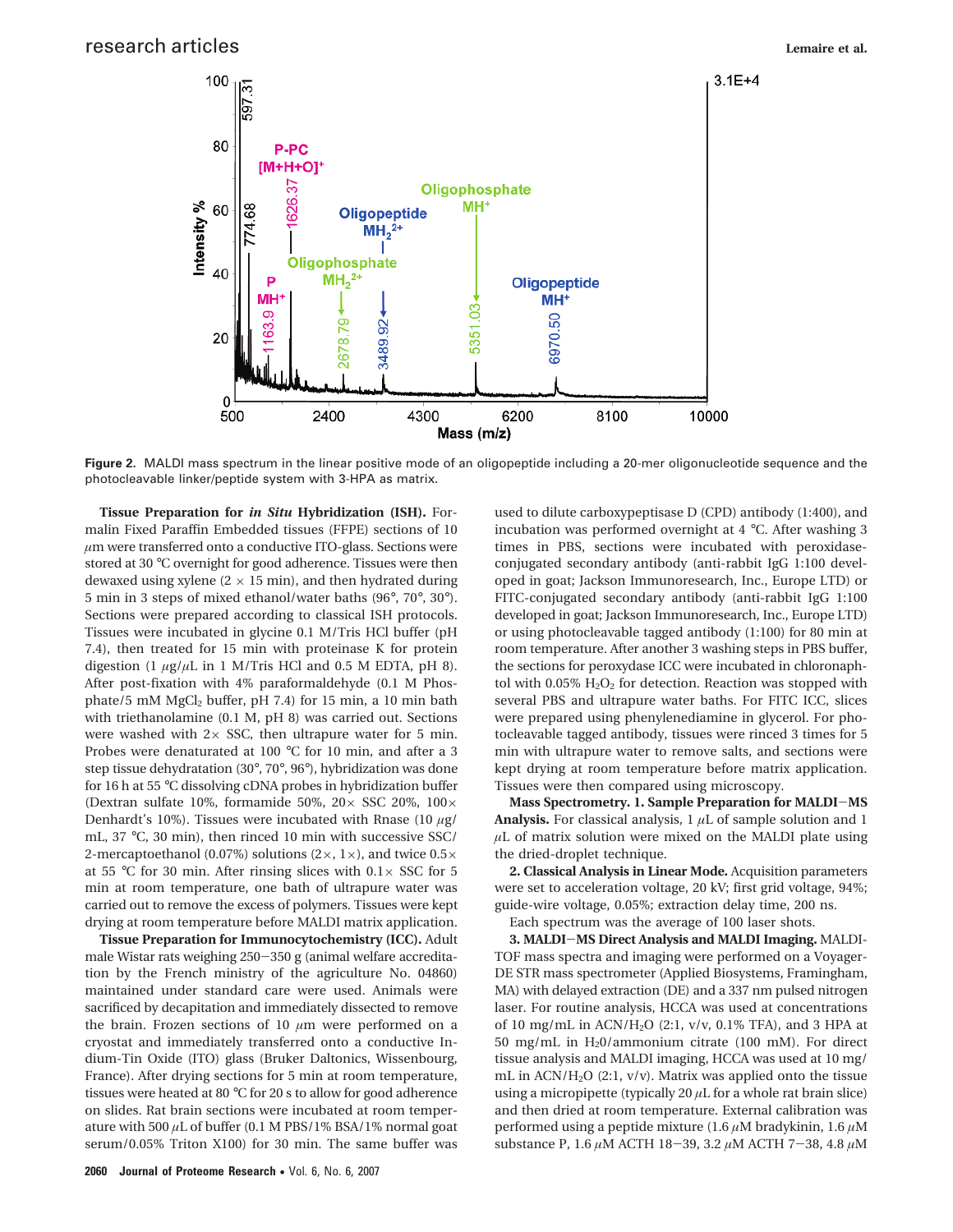

**Figure 2.** MALDI mass spectrum in the linear positive mode of an oligopeptide including a 20-mer oligonucleotide sequence and the photocleavable linker/peptide system with 3-HPA as matrix.

**Tissue Preparation for** *in Situ* **Hybridization (ISH).** Formalin Fixed Paraffin Embedded tissues (FFPE) sections of 10 *µ*m were transferred onto a conductive ITO-glass. Sections were stored at 30 °C overnight for good adherence. Tissues were then dewaxed using xylene  $(2 \times 15 \text{ min})$ , and then hydrated during 5 min in 3 steps of mixed ethanol/water baths (96°, 70°, 30°). Sections were prepared according to classical ISH protocols. Tissues were incubated in glycine 0.1 M/Tris HCl buffer (pH 7.4), then treated for 15 min with proteinase K for protein digestion (1  $\mu$ g/ $\mu$ L in 1 M/Tris HCl and 0.5 M EDTA, pH 8). After post-fixation with 4% paraformaldehyde (0.1 M Phosphate/5 mM MgCl<sub>2</sub> buffer, pH 7.4) for 15 min, a 10 min bath with triethanolamine (0.1 M, pH 8) was carried out. Sections were washed with  $2 \times$  SSC, then ultrapure water for 5 min. Probes were denaturated at 100 °C for 10 min, and after a 3 step tissue dehydratation (30°, 70°, 96°), hybridization was done for 16 h at 55 °C dissolving cDNA probes in hybridization buffer (Dextran sulfate 10%, formamide 50%, 20 $\times$  SSC 20%, 100 $\times$ Denhardt's 10%). Tissues were incubated with Rnase (10 *µ*g/ mL, 37 °C, 30 min), then rinced 10 min with successive SSC/ 2-mercaptoethanol (0.07%) solutions ( $2 \times$ ,  $1 \times$ ), and twice  $0.5 \times$ at 55 °C for 30 min. After rinsing slices with  $0.1 \times$  SSC for 5 min at room temperature, one bath of ultrapure water was carried out to remove the excess of polymers. Tissues were kept drying at room temperature before MALDI matrix application.

**Tissue Preparation for Immunocytochemistry (ICC).** Adult male Wistar rats weighing 250-350 g (animal welfare accreditation by the French ministry of the agriculture No. 04860) maintained under standard care were used. Animals were sacrificed by decapitation and immediately dissected to remove the brain. Frozen sections of 10 *µ*m were performed on a cryostat and immediately transferred onto a conductive Indium-Tin Oxide (ITO) glass (Bruker Daltonics, Wissenbourg, France). After drying sections for 5 min at room temperature, tissues were heated at 80 °C for 20 s to allow for good adherence on slides. Rat brain sections were incubated at room temperature with 500 *µ*L of buffer (0.1 M PBS/1% BSA/1% normal goat serum/0.05% Triton X100) for 30 min. The same buffer was

used to dilute carboxypeptisase D (CPD) antibody (1:400), and incubation was performed overnight at 4 °C. After washing 3 times in PBS, sections were incubated with peroxidaseconjugated secondary antibody (anti-rabbit IgG 1:100 developed in goat; Jackson Immunoresearch, Inc., Europe LTD) or FITC-conjugated secondary antibody (anti-rabbit IgG 1:100 developed in goat; Jackson Immunoresearch, Inc., Europe LTD) or using photocleavable tagged antibody (1:100) for 80 min at room temperature. After another 3 washing steps in PBS buffer, the sections for peroxydase ICC were incubated in chloronaphtol with 0.05%  $H_2O_2$  for detection. Reaction was stopped with several PBS and ultrapure water baths. For FITC ICC, slices were prepared using phenylenediamine in glycerol. For photocleavable tagged antibody, tissues were rinced 3 times for 5 min with ultrapure water to remove salts, and sections were kept drying at room temperature before matrix application. Tissues were then compared using microscopy.

**Mass Spectrometry. 1. Sample Preparation for MALDI**-**MS Analysis.** For classical analysis,  $1 \mu L$  of sample solution and 1  $\mu$ L of matrix solution were mixed on the MALDI plate using the dried-droplet technique.

**2. Classical Analysis in Linear Mode.** Acquisition parameters were set to acceleration voltage, 20 kV; first grid voltage, 94%; guide-wire voltage, 0.05%; extraction delay time, 200 ns.

Each spectrum was the average of 100 laser shots.

**3. MALDI**-**MS Direct Analysis and MALDI Imaging.** MALDI-TOF mass spectra and imaging were performed on a Voyager-DE STR mass spectrometer (Applied Biosystems, Framingham, MA) with delayed extraction (DE) and a 337 nm pulsed nitrogen laser. For routine analysis, HCCA was used at concentrations of 10 mg/mL in ACN/H2O (2:1, v/v, 0.1% TFA), and 3 HPA at 50 mg/mL in H20/ammonium citrate (100 mM). For direct tissue analysis and MALDI imaging, HCCA was used at 10 mg/ mL in  $ACN/H<sub>2</sub>O$  (2:1,  $v/v$ ). Matrix was applied onto the tissue using a micropipette (typically 20 *µ*L for a whole rat brain slice) and then dried at room temperature. External calibration was performed using a peptide mixture (1.6 *µ*M bradykinin, 1.6 *µ*M substance P, 1.6 *<sup>µ</sup>*M ACTH 18-39, 3.2 *<sup>µ</sup>*M ACTH 7-38, 4.8 *<sup>µ</sup>*<sup>M</sup>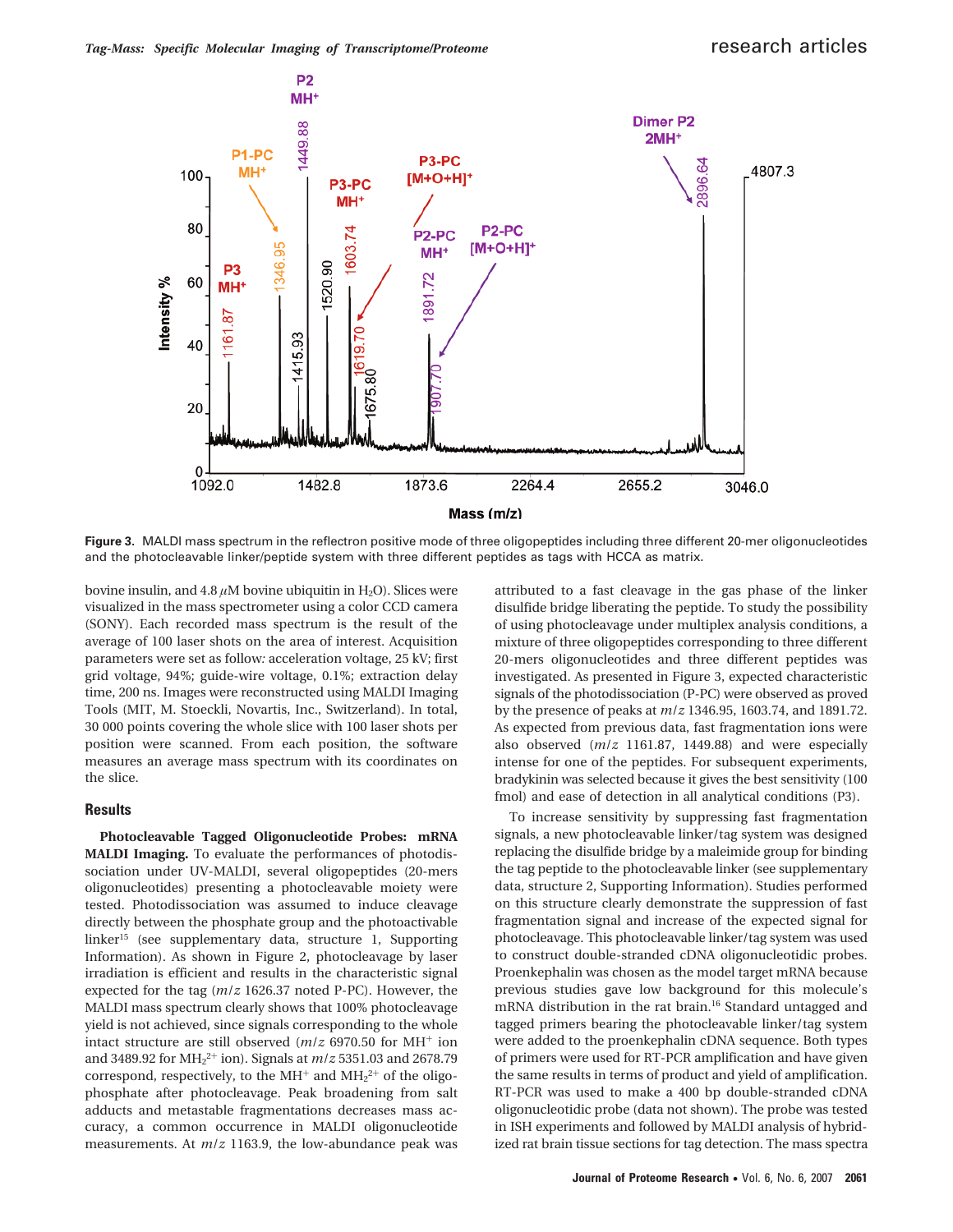

**Figure 3.** MALDI mass spectrum in the reflectron positive mode of three oligopeptides including three different 20-mer oligonucleotides and the photocleavable linker/peptide system with three different peptides as tags with HCCA as matrix.

bovine insulin, and  $4.8 \mu M$  bovine ubiquitin in H<sub>2</sub>O). Slices were visualized in the mass spectrometer using a color CCD camera (SONY). Each recorded mass spectrum is the result of the average of 100 laser shots on the area of interest. Acquisition parameters were set as follow*:* acceleration voltage, 25 kV; first grid voltage, 94%; guide-wire voltage, 0.1%; extraction delay time, 200 ns. Images were reconstructed using MALDI Imaging Tools (MIT, M. Stoeckli, Novartis, Inc., Switzerland). In total, 30 000 points covering the whole slice with 100 laser shots per position were scanned. From each position, the software measures an average mass spectrum with its coordinates on the slice.

#### **Results**

**Photocleavable Tagged Oligonucleotide Probes: mRNA MALDI Imaging.** To evaluate the performances of photodissociation under UV-MALDI, several oligopeptides (20-mers oligonucleotides) presenting a photocleavable moiety were tested. Photodissociation was assumed to induce cleavage directly between the phosphate group and the photoactivable linker15 (see supplementary data, structure 1, Supporting Information). As shown in Figure 2, photocleavage by laser irradiation is efficient and results in the characteristic signal expected for the tag (*m*/*z* 1626.37 noted P-PC). However, the MALDI mass spectrum clearly shows that 100% photocleavage yield is not achieved, since signals corresponding to the whole intact structure are still observed  $(m/z)$  6970.50 for MH<sup>+</sup> ion and 3489.92 for MH2 <sup>2</sup><sup>+</sup> ion). Signals at *m*/*z* 5351.03 and 2678.79 correspond, respectively, to the  $MH^+$  and  $MH_2^{2+}$  of the oligophosphate after photocleavage. Peak broadening from salt adducts and metastable fragmentations decreases mass accuracy, a common occurrence in MALDI oligonucleotide measurements. At *m*/*z* 1163.9, the low-abundance peak was

attributed to a fast cleavage in the gas phase of the linker disulfide bridge liberating the peptide. To study the possibility of using photocleavage under multiplex analysis conditions, a mixture of three oligopeptides corresponding to three different 20-mers oligonucleotides and three different peptides was investigated. As presented in Figure 3, expected characteristic signals of the photodissociation (P-PC) were observed as proved by the presence of peaks at *m*/*z* 1346.95, 1603.74, and 1891.72. As expected from previous data, fast fragmentation ions were also observed (*m*/*z* 1161.87, 1449.88) and were especially intense for one of the peptides. For subsequent experiments, bradykinin was selected because it gives the best sensitivity (100 fmol) and ease of detection in all analytical conditions (P3).

To increase sensitivity by suppressing fast fragmentation signals, a new photocleavable linker/tag system was designed replacing the disulfide bridge by a maleimide group for binding the tag peptide to the photocleavable linker (see supplementary data, structure 2, Supporting Information). Studies performed on this structure clearly demonstrate the suppression of fast fragmentation signal and increase of the expected signal for photocleavage. This photocleavable linker/tag system was used to construct double-stranded cDNA oligonucleotidic probes. Proenkephalin was chosen as the model target mRNA because previous studies gave low background for this molecule's mRNA distribution in the rat brain.<sup>16</sup> Standard untagged and tagged primers bearing the photocleavable linker/tag system were added to the proenkephalin cDNA sequence. Both types of primers were used for RT-PCR amplification and have given the same results in terms of product and yield of amplification. RT-PCR was used to make a 400 bp double-stranded cDNA oligonucleotidic probe (data not shown). The probe was tested in ISH experiments and followed by MALDI analysis of hybridized rat brain tissue sections for tag detection. The mass spectra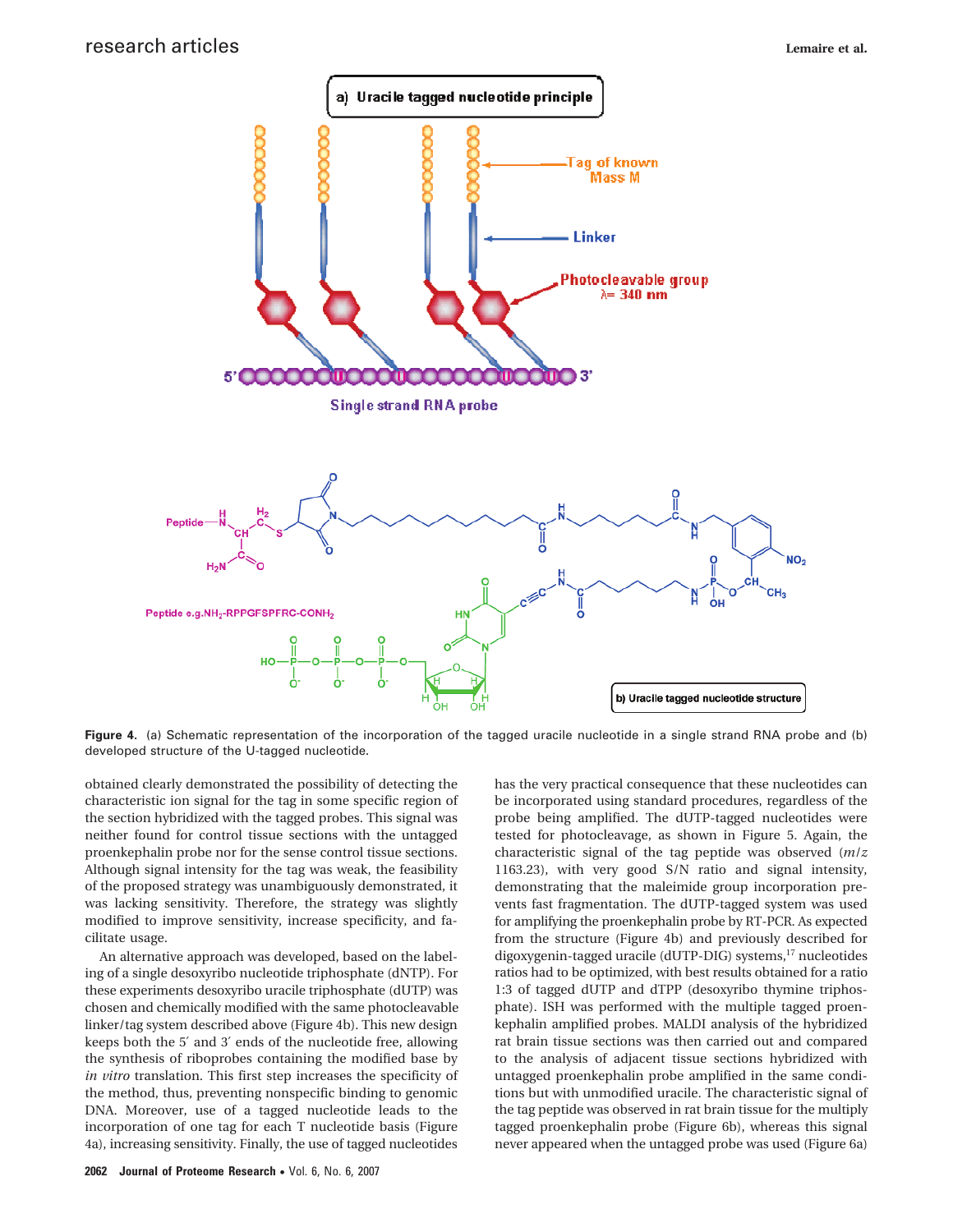

**Figure 4.** (a) Schematic representation of the incorporation of the tagged uracile nucleotide in a single strand RNA probe and (b) developed structure of the U-tagged nucleotide.

obtained clearly demonstrated the possibility of detecting the characteristic ion signal for the tag in some specific region of the section hybridized with the tagged probes. This signal was neither found for control tissue sections with the untagged proenkephalin probe nor for the sense control tissue sections. Although signal intensity for the tag was weak, the feasibility of the proposed strategy was unambiguously demonstrated, it was lacking sensitivity. Therefore, the strategy was slightly modified to improve sensitivity, increase specificity, and facilitate usage.

An alternative approach was developed, based on the labeling of a single desoxyribo nucleotide triphosphate (dNTP). For these experiments desoxyribo uracile triphosphate (dUTP) was chosen and chemically modified with the same photocleavable linker/tag system described above (Figure 4b). This new design keeps both the 5′ and 3′ ends of the nucleotide free, allowing the synthesis of riboprobes containing the modified base by *in vitro* translation. This first step increases the specificity of the method, thus, preventing nonspecific binding to genomic DNA. Moreover, use of a tagged nucleotide leads to the incorporation of one tag for each T nucleotide basis (Figure 4a), increasing sensitivity. Finally, the use of tagged nucleotides

has the very practical consequence that these nucleotides can be incorporated using standard procedures, regardless of the probe being amplified. The dUTP-tagged nucleotides were tested for photocleavage, as shown in Figure 5. Again, the characteristic signal of the tag peptide was observed (*m*/*z* 1163.23), with very good S/N ratio and signal intensity, demonstrating that the maleimide group incorporation prevents fast fragmentation. The dUTP-tagged system was used for amplifying the proenkephalin probe by RT-PCR. As expected from the structure (Figure 4b) and previously described for digoxygenin-tagged uracile (dUTP-DIG) systems,<sup>17</sup> nucleotides ratios had to be optimized, with best results obtained for a ratio 1:3 of tagged dUTP and dTPP (desoxyribo thymine triphosphate). ISH was performed with the multiple tagged proenkephalin amplified probes. MALDI analysis of the hybridized rat brain tissue sections was then carried out and compared to the analysis of adjacent tissue sections hybridized with untagged proenkephalin probe amplified in the same conditions but with unmodified uracile. The characteristic signal of the tag peptide was observed in rat brain tissue for the multiply tagged proenkephalin probe (Figure 6b), whereas this signal never appeared when the untagged probe was used (Figure 6a)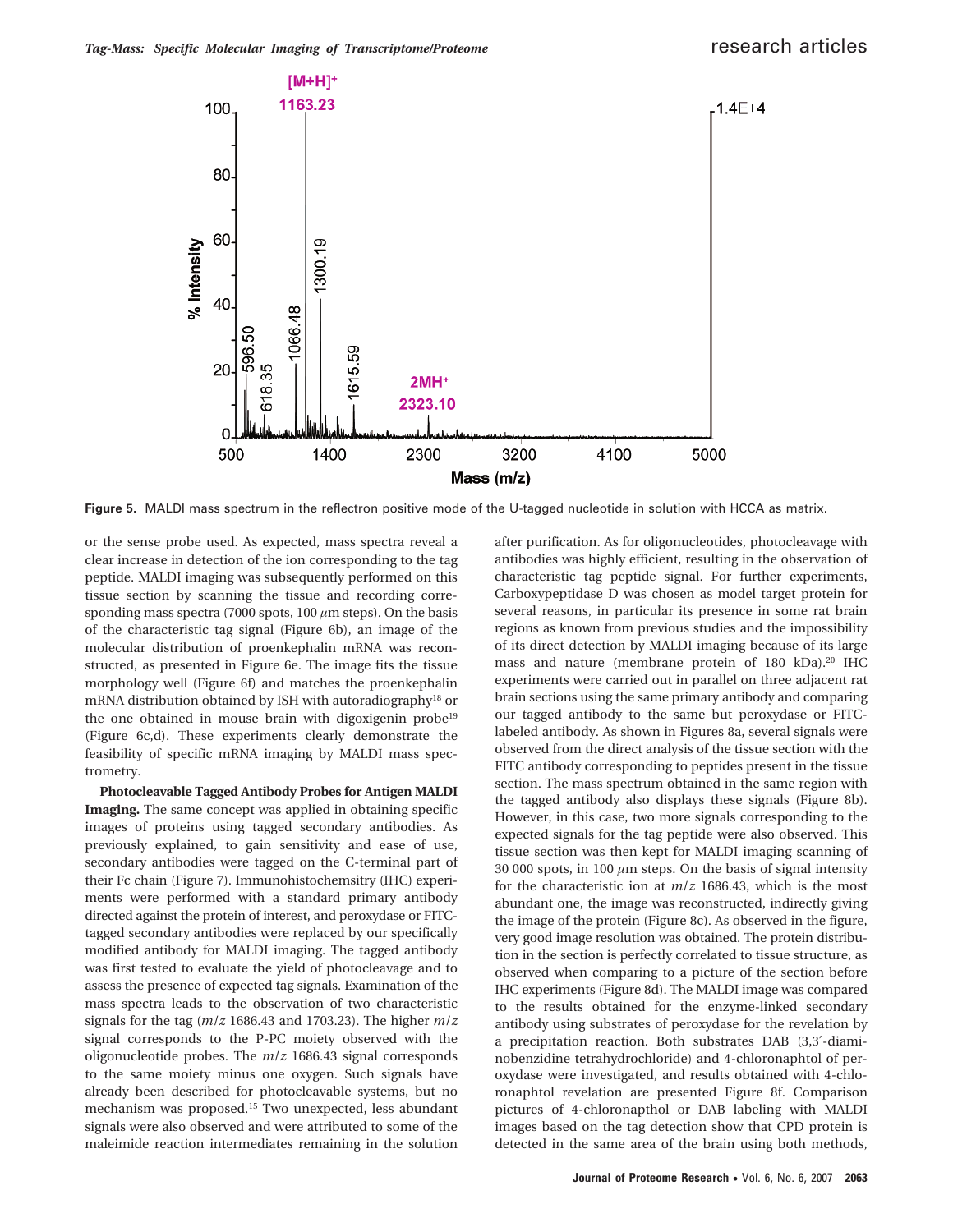

**Figure 5.** MALDI mass spectrum in the reflectron positive mode of the U-tagged nucleotide in solution with HCCA as matrix.

or the sense probe used. As expected, mass spectra reveal a clear increase in detection of the ion corresponding to the tag peptide. MALDI imaging was subsequently performed on this tissue section by scanning the tissue and recording corresponding mass spectra (7000 spots, 100 *µ*m steps). On the basis of the characteristic tag signal (Figure 6b), an image of the molecular distribution of proenkephalin mRNA was reconstructed, as presented in Figure 6e. The image fits the tissue morphology well (Figure 6f) and matches the proenkephalin mRNA distribution obtained by ISH with autoradiography18 or the one obtained in mouse brain with digoxigenin probe<sup>19</sup> (Figure 6c,d). These experiments clearly demonstrate the feasibility of specific mRNA imaging by MALDI mass spectrometry.

**Photocleavable Tagged Antibody Probes for Antigen MALDI Imaging.** The same concept was applied in obtaining specific images of proteins using tagged secondary antibodies. As previously explained, to gain sensitivity and ease of use, secondary antibodies were tagged on the C-terminal part of their Fc chain (Figure 7). Immunohistochemsitry (IHC) experiments were performed with a standard primary antibody directed against the protein of interest, and peroxydase or FITCtagged secondary antibodies were replaced by our specifically modified antibody for MALDI imaging. The tagged antibody was first tested to evaluate the yield of photocleavage and to assess the presence of expected tag signals. Examination of the mass spectra leads to the observation of two characteristic signals for the tag (*m*/*z* 1686.43 and 1703.23). The higher *m*/*z* signal corresponds to the P-PC moiety observed with the oligonucleotide probes. The *m*/*z* 1686.43 signal corresponds to the same moiety minus one oxygen. Such signals have already been described for photocleavable systems, but no mechanism was proposed.15 Two unexpected, less abundant signals were also observed and were attributed to some of the maleimide reaction intermediates remaining in the solution

after purification. As for oligonucleotides, photocleavage with antibodies was highly efficient, resulting in the observation of characteristic tag peptide signal. For further experiments, Carboxypeptidase D was chosen as model target protein for several reasons, in particular its presence in some rat brain regions as known from previous studies and the impossibility of its direct detection by MALDI imaging because of its large mass and nature (membrane protein of 180 kDa).<sup>20</sup> IHC experiments were carried out in parallel on three adjacent rat brain sections using the same primary antibody and comparing our tagged antibody to the same but peroxydase or FITClabeled antibody. As shown in Figures 8a, several signals were observed from the direct analysis of the tissue section with the FITC antibody corresponding to peptides present in the tissue section. The mass spectrum obtained in the same region with the tagged antibody also displays these signals (Figure 8b). However, in this case, two more signals corresponding to the expected signals for the tag peptide were also observed. This tissue section was then kept for MALDI imaging scanning of 30 000 spots, in 100  $\mu$ m steps. On the basis of signal intensity for the characteristic ion at *m*/*z* 1686.43, which is the most abundant one, the image was reconstructed, indirectly giving the image of the protein (Figure 8c). As observed in the figure, very good image resolution was obtained. The protein distribution in the section is perfectly correlated to tissue structure, as observed when comparing to a picture of the section before IHC experiments (Figure 8d). The MALDI image was compared to the results obtained for the enzyme-linked secondary antibody using substrates of peroxydase for the revelation by a precipitation reaction. Both substrates DAB (3,3′-diaminobenzidine tetrahydrochloride) and 4-chloronaphtol of peroxydase were investigated, and results obtained with 4-chloronaphtol revelation are presented Figure 8f. Comparison pictures of 4-chloronapthol or DAB labeling with MALDI images based on the tag detection show that CPD protein is detected in the same area of the brain using both methods,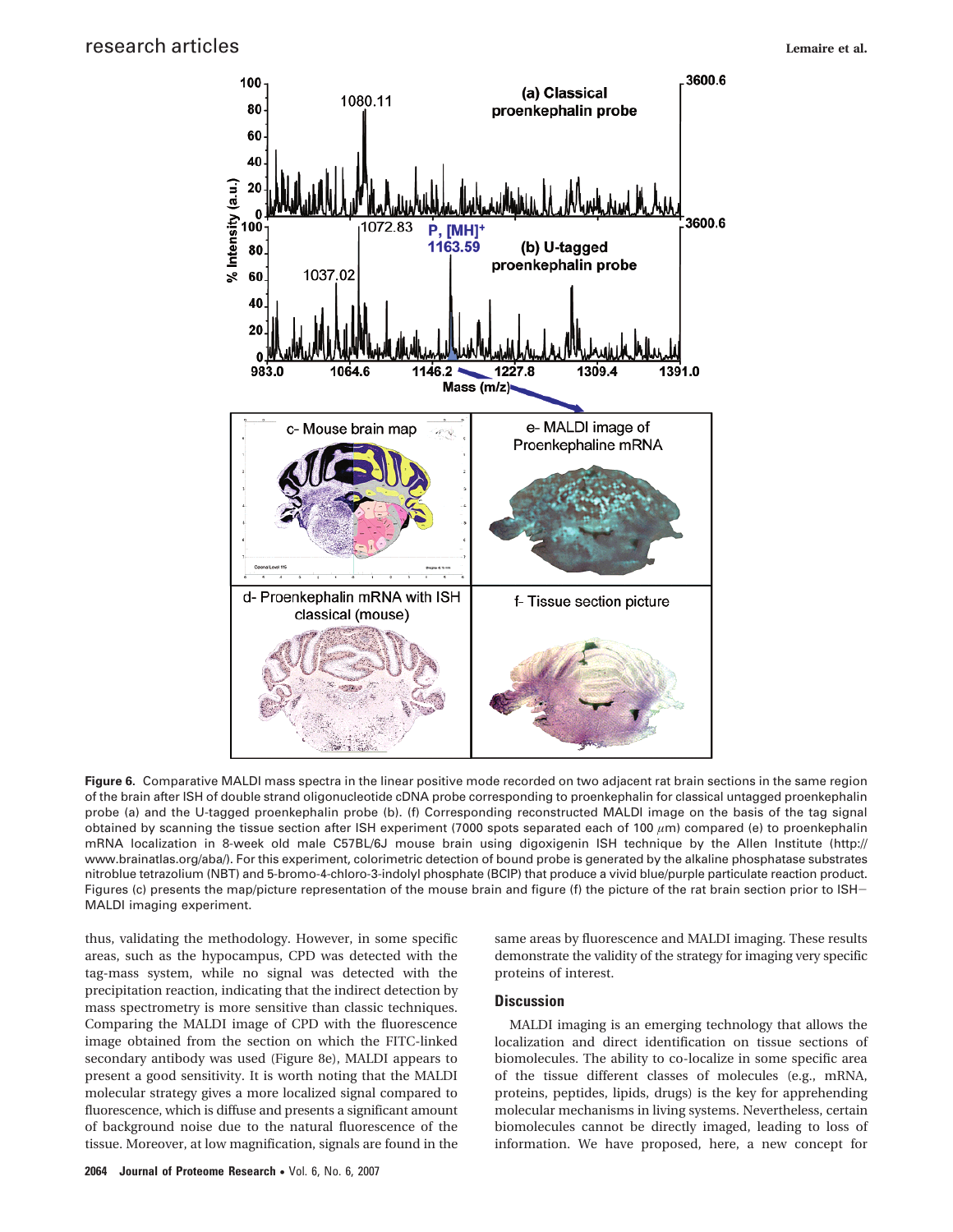

**Figure 6.** Comparative MALDI mass spectra in the linear positive mode recorded on two adjacent rat brain sections in the same region of the brain after ISH of double strand oligonucleotide cDNA probe corresponding to proenkephalin for classical untagged proenkephalin probe (a) and the U-tagged proenkephalin probe (b). (f) Corresponding reconstructed MALDI image on the basis of the tag signal obtained by scanning the tissue section after ISH experiment (7000 spots separated each of 100 *µ*m) compared (e) to proenkephalin mRNA localization in 8-week old male C57BL/6J mouse brain using digoxigenin ISH technique by the Allen Institute (http:// www.brainatlas.org/aba/). For this experiment, colorimetric detection of bound probe is generated by the alkaline phosphatase substrates nitroblue tetrazolium (NBT) and 5-bromo-4-chloro-3-indolyl phosphate (BCIP) that produce a vivid blue/purple particulate reaction product. Figures (c) presents the map/picture representation of the mouse brain and figure (f) the picture of the rat brain section prior to ISH-MALDI imaging experiment.

thus, validating the methodology. However, in some specific areas, such as the hypocampus, CPD was detected with the tag-mass system, while no signal was detected with the precipitation reaction, indicating that the indirect detection by mass spectrometry is more sensitive than classic techniques. Comparing the MALDI image of CPD with the fluorescence image obtained from the section on which the FITC-linked secondary antibody was used (Figure 8e), MALDI appears to present a good sensitivity. It is worth noting that the MALDI molecular strategy gives a more localized signal compared to fluorescence, which is diffuse and presents a significant amount of background noise due to the natural fluorescence of the tissue. Moreover, at low magnification, signals are found in the

same areas by fluorescence and MALDI imaging. These results demonstrate the validity of the strategy for imaging very specific proteins of interest.

## **Discussion**

MALDI imaging is an emerging technology that allows the localization and direct identification on tissue sections of biomolecules. The ability to co-localize in some specific area of the tissue different classes of molecules (e.g., mRNA, proteins, peptides, lipids, drugs) is the key for apprehending molecular mechanisms in living systems. Nevertheless, certain biomolecules cannot be directly imaged, leading to loss of information. We have proposed, here, a new concept for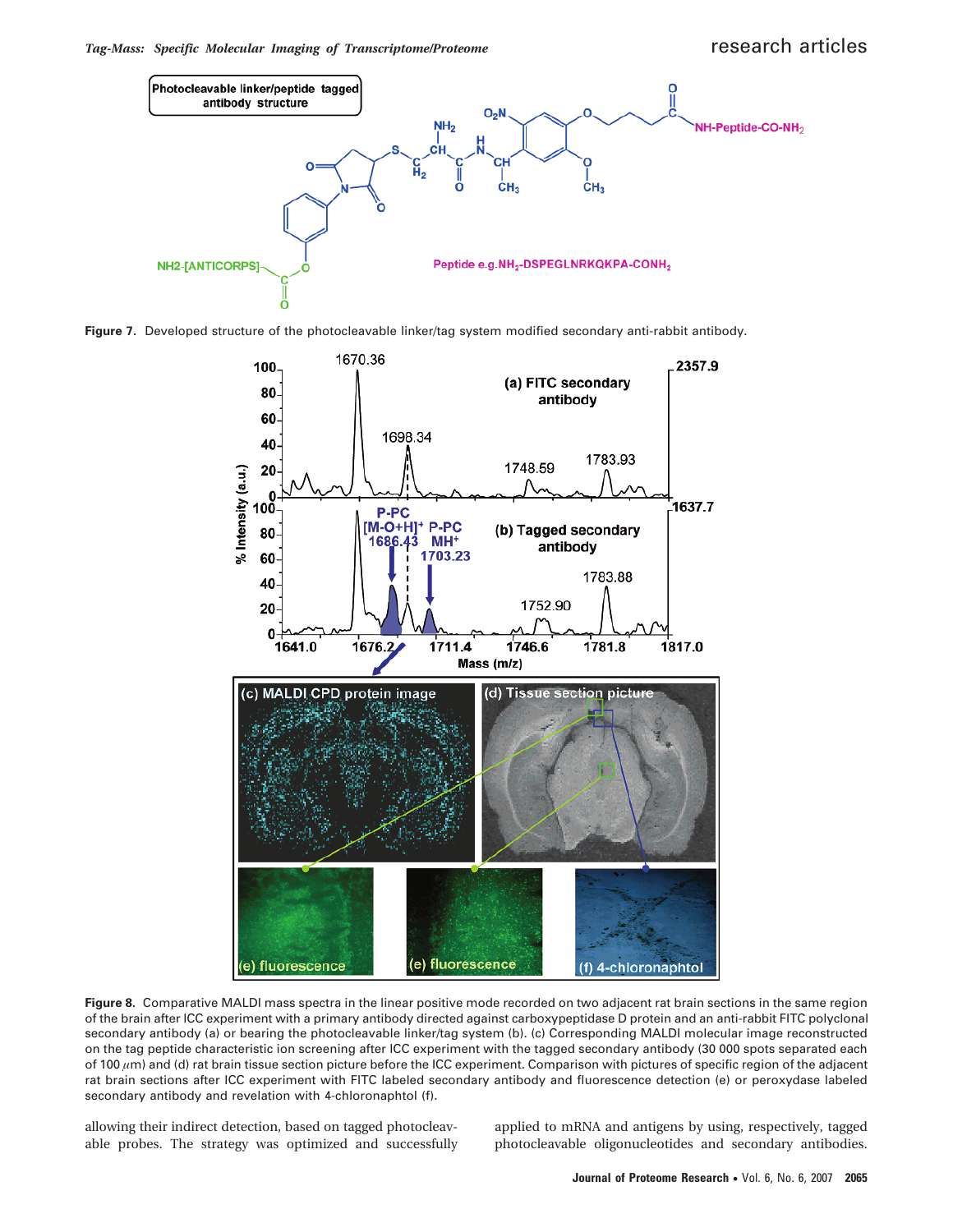

**Figure 7.** Developed structure of the photocleavable linker/tag system modified secondary anti-rabbit antibody.



**Figure 8.** Comparative MALDI mass spectra in the linear positive mode recorded on two adjacent rat brain sections in the same region of the brain after ICC experiment with a primary antibody directed against carboxypeptidase D protein and an anti-rabbit FITC polyclonal secondary antibody (a) or bearing the photocleavable linker/tag system (b). (c) Corresponding MALDI molecular image reconstructed on the tag peptide characteristic ion screening after ICC experiment with the tagged secondary antibody (30 000 spots separated each of 100  $\mu$ m) and (d) rat brain tissue section picture before the ICC experiment. Comparison with pictures of specific region of the adjacent rat brain sections after ICC experiment with FITC labeled secondary antibody and fluorescence detection (e) or peroxydase labeled secondary antibody and revelation with 4-chloronaphtol (f).

allowing their indirect detection, based on tagged photocleavable probes. The strategy was optimized and successfully applied to mRNA and antigens by using, respectively, tagged photocleavable oligonucleotides and secondary antibodies.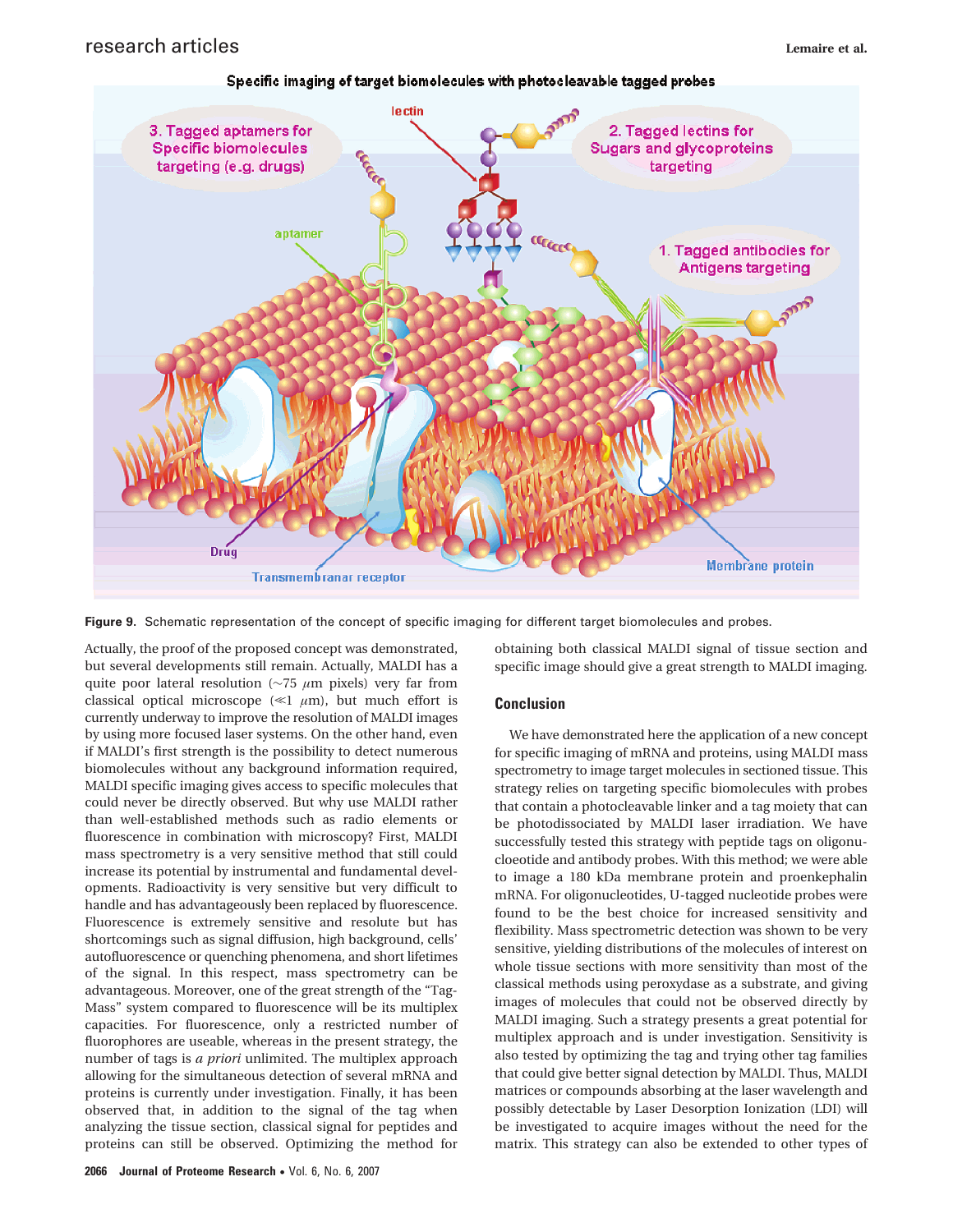

Specific imaging of target biomolecules with photocleavable tagged probes

**Figure 9.** Schematic representation of the concept of specific imaging for different target biomolecules and probes.

Actually, the proof of the proposed concept was demonstrated, but several developments still remain. Actually, MALDI has a quite poor lateral resolution (∼75 *µ*m pixels) very far from classical optical microscope ( $\ll 1$   $\mu$ m), but much effort is currently underway to improve the resolution of MALDI images by using more focused laser systems. On the other hand, even if MALDI's first strength is the possibility to detect numerous biomolecules without any background information required, MALDI specific imaging gives access to specific molecules that could never be directly observed. But why use MALDI rather than well-established methods such as radio elements or fluorescence in combination with microscopy? First, MALDI mass spectrometry is a very sensitive method that still could increase its potential by instrumental and fundamental developments. Radioactivity is very sensitive but very difficult to handle and has advantageously been replaced by fluorescence. Fluorescence is extremely sensitive and resolute but has shortcomings such as signal diffusion, high background, cells' autofluorescence or quenching phenomena, and short lifetimes of the signal. In this respect, mass spectrometry can be advantageous. Moreover, one of the great strength of the "Tag-Mass" system compared to fluorescence will be its multiplex capacities. For fluorescence, only a restricted number of fluorophores are useable, whereas in the present strategy, the number of tags is *a priori* unlimited. The multiplex approach allowing for the simultaneous detection of several mRNA and proteins is currently under investigation. Finally, it has been observed that, in addition to the signal of the tag when analyzing the tissue section, classical signal for peptides and proteins can still be observed. Optimizing the method for

obtaining both classical MALDI signal of tissue section and specific image should give a great strength to MALDI imaging.

## **Conclusion**

We have demonstrated here the application of a new concept for specific imaging of mRNA and proteins, using MALDI mass spectrometry to image target molecules in sectioned tissue. This strategy relies on targeting specific biomolecules with probes that contain a photocleavable linker and a tag moiety that can be photodissociated by MALDI laser irradiation. We have successfully tested this strategy with peptide tags on oligonucloeotide and antibody probes. With this method; we were able to image a 180 kDa membrane protein and proenkephalin mRNA. For oligonucleotides, U-tagged nucleotide probes were found to be the best choice for increased sensitivity and flexibility. Mass spectrometric detection was shown to be very sensitive, yielding distributions of the molecules of interest on whole tissue sections with more sensitivity than most of the classical methods using peroxydase as a substrate, and giving images of molecules that could not be observed directly by MALDI imaging. Such a strategy presents a great potential for multiplex approach and is under investigation. Sensitivity is also tested by optimizing the tag and trying other tag families that could give better signal detection by MALDI. Thus, MALDI matrices or compounds absorbing at the laser wavelength and possibly detectable by Laser Desorption Ionization (LDI) will be investigated to acquire images without the need for the matrix. This strategy can also be extended to other types of